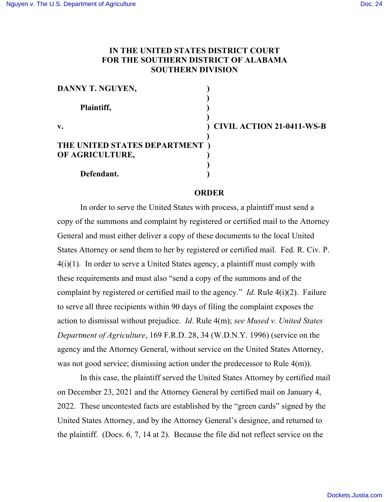## **IN THE UNITED STATES DISTRICT COURT FOR THE SOUTHERN DISTRICT OF ALABAMA SOUTHERN DIVISION**

| DANNY T. NGUYEN,              |                             |
|-------------------------------|-----------------------------|
| Plaintiff,                    |                             |
| v.                            | ) CIVIL ACTION 21-0411-WS-B |
| THE UNITED STATES DEPARTMENT) |                             |
| OF AGRICULTURE,               |                             |
|                               |                             |
| Defendant.                    |                             |

## **ORDER**

In order to serve the United States with process, a plaintiff must send a copy of the summons and complaint by registered or certified mail to the Attorney General and must either deliver a copy of these documents to the local United States Attorney or send them to her by registered or certified mail. Fed. R. Civ. P. 4(i)(1). In order to serve a United States agency, a plaintiff must comply with these requirements and must also "send a copy of the summons and of the complaint by registered or certified mail to the agency." *Id*. Rule 4(i)(2). Failure to serve all three recipients within 90 days of filing the complaint exposes the action to dismissal without prejudice. *Id*. Rule 4(m); *see Mused v. United States Department of Agriculture*, 169 F.R.D. 28, 34 (W.D.N.Y. 1996) (service on the agency and the Attorney General, without service on the United States Attorney, was not good service; dismissing action under the predecessor to Rule 4(m)).

In this case, the plaintiff served the United States Attorney by certified mail on December 23, 2021 and the Attorney General by certified mail on January 4, 2022. These uncontested facts are established by the "green cards" signed by the United States Attorney, and by the Attorney General's designee, and returned to the plaintiff. (Docs. 6, 7, 14 at 2). Because the file did not reflect service on the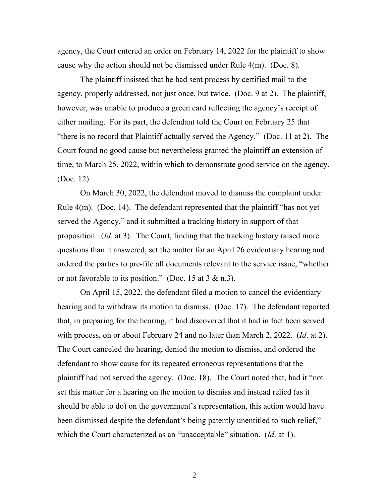agency, the Court entered an order on February 14, 2022 for the plaintiff to show cause why the action should not be dismissed under Rule 4(m). (Doc. 8).

The plaintiff insisted that he had sent process by certified mail to the agency, properly addressed, not just once, but twice. (Doc. 9 at 2). The plaintiff, however, was unable to produce a green card reflecting the agency's receipt of either mailing. For its part, the defendant told the Court on February 25 that "there is no record that Plaintiff actually served the Agency." (Doc. 11 at 2). The Court found no good cause but nevertheless granted the plaintiff an extension of time, to March 25, 2022, within which to demonstrate good service on the agency. (Doc. 12).

On March 30, 2022, the defendant moved to dismiss the complaint under Rule 4(m). (Doc. 14). The defendant represented that the plaintiff "has not yet served the Agency," and it submitted a tracking history in support of that proposition. (*Id*. at 3). The Court, finding that the tracking history raised more questions than it answered, set the matter for an April 26 evidentiary hearing and ordered the parties to pre-file all documents relevant to the service issue, "whether or not favorable to its position." (Doc. 15 at  $3 \& n.3$ ).

On April 15, 2022, the defendant filed a motion to cancel the evidentiary hearing and to withdraw its motion to dismiss. (Doc. 17). The defendant reported that, in preparing for the hearing, it had discovered that it had in fact been served with process, on or about February 24 and no later than March 2, 2022. (*Id*. at 2). The Court canceled the hearing, denied the motion to dismiss, and ordered the defendant to show cause for its repeated erroneous representations that the plaintiff had not served the agency. (Doc. 18). The Court noted that, had it "not set this matter for a hearing on the motion to dismiss and instead relied (as it should be able to do) on the government's representation, this action would have been dismissed despite the defendant's being patently unentitled to such relief," which the Court characterized as an "unacceptable" situation. (*Id*. at 1).

2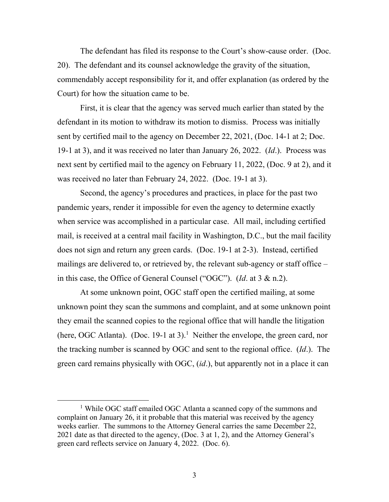The defendant has filed its response to the Court's show-cause order. (Doc. 20). The defendant and its counsel acknowledge the gravity of the situation, commendably accept responsibility for it, and offer explanation (as ordered by the Court) for how the situation came to be.

First, it is clear that the agency was served much earlier than stated by the defendant in its motion to withdraw its motion to dismiss. Process was initially sent by certified mail to the agency on December 22, 2021, (Doc. 14-1 at 2; Doc. 19-1 at 3), and it was received no later than January 26, 2022. (*Id*.). Process was next sent by certified mail to the agency on February 11, 2022, (Doc. 9 at 2), and it was received no later than February 24, 2022. (Doc. 19-1 at 3).

Second, the agency's procedures and practices, in place for the past two pandemic years, render it impossible for even the agency to determine exactly when service was accomplished in a particular case. All mail, including certified mail, is received at a central mail facility in Washington, D.C., but the mail facility does not sign and return any green cards. (Doc. 19-1 at 2-3). Instead, certified mailings are delivered to, or retrieved by, the relevant sub-agency or staff office – in this case, the Office of General Counsel ("OGC"). (*Id*. at 3 & n.2).

At some unknown point, OGC staff open the certified mailing, at some unknown point they scan the summons and complaint, and at some unknown point they email the scanned copies to the regional office that will handle the litigation (here, OGC Atlanta). (Doc. 19-1 at 3).<sup>1</sup> Neither the envelope, the green card, nor the tracking number is scanned by OGC and sent to the regional office. (*Id*.). The green card remains physically with OGC, (*id*.), but apparently not in a place it can

<sup>&</sup>lt;sup>1</sup> While OGC staff emailed OGC Atlanta a scanned copy of the summons and complaint on January 26, it it probable that this material was received by the agency weeks earlier. The summons to the Attorney General carries the same December 22, 2021 date as that directed to the agency, (Doc. 3 at 1, 2), and the Attorney General's green card reflects service on January 4, 2022. (Doc. 6).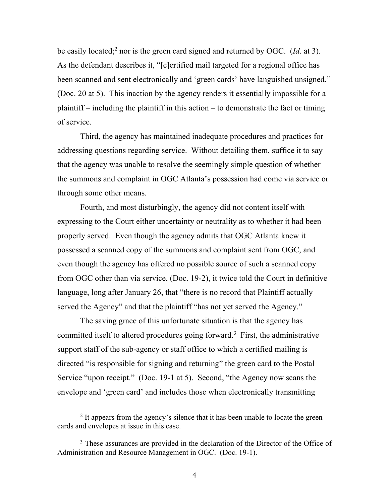be easily located;2 nor is the green card signed and returned by OGC. (*Id*. at 3). As the defendant describes it, "[c]ertified mail targeted for a regional office has been scanned and sent electronically and 'green cards' have languished unsigned." (Doc. 20 at 5). This inaction by the agency renders it essentially impossible for a plaintiff – including the plaintiff in this action – to demonstrate the fact or timing of service.

Third, the agency has maintained inadequate procedures and practices for addressing questions regarding service. Without detailing them, suffice it to say that the agency was unable to resolve the seemingly simple question of whether the summons and complaint in OGC Atlanta's possession had come via service or through some other means.

Fourth, and most disturbingly, the agency did not content itself with expressing to the Court either uncertainty or neutrality as to whether it had been properly served. Even though the agency admits that OGC Atlanta knew it possessed a scanned copy of the summons and complaint sent from OGC, and even though the agency has offered no possible source of such a scanned copy from OGC other than via service, (Doc. 19-2), it twice told the Court in definitive language, long after January 26, that "there is no record that Plaintiff actually served the Agency" and that the plaintiff "has not yet served the Agency."

The saving grace of this unfortunate situation is that the agency has committed itself to altered procedures going forward.<sup>3</sup> First, the administrative support staff of the sub-agency or staff office to which a certified mailing is directed "is responsible for signing and returning" the green card to the Postal Service "upon receipt." (Doc. 19-1 at 5). Second, "the Agency now scans the envelope and 'green card' and includes those when electronically transmitting

<sup>&</sup>lt;sup>2</sup> It appears from the agency's silence that it has been unable to locate the green cards and envelopes at issue in this case.

<sup>&</sup>lt;sup>3</sup> These assurances are provided in the declaration of the Director of the Office of Administration and Resource Management in OGC. (Doc. 19-1).